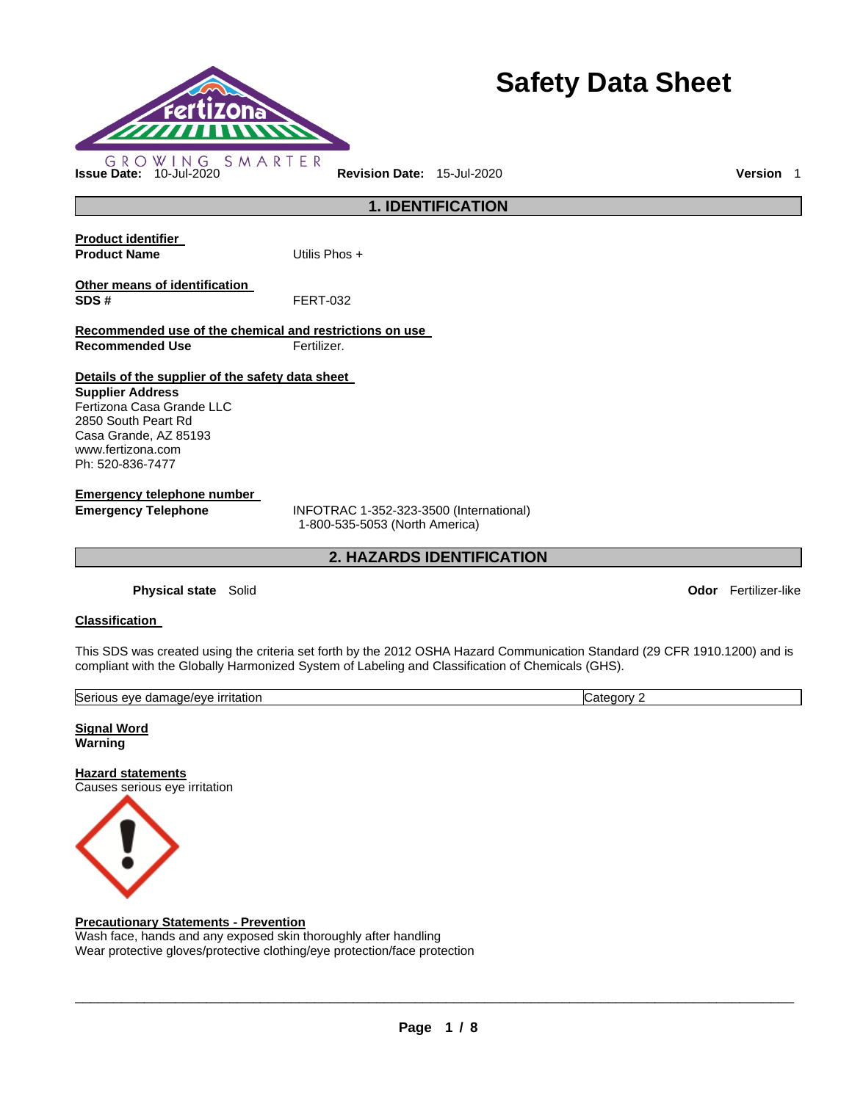

# **Safety Data Sheet**

**Product identifier Product Name** Utilis Phos + **Other means of identification SDS #** FERT-032 **Recommended use of the chemical and restrictions on use Recommended Use Fertilizer. Details of the supplier of the safety data sheet Supplier Address** Fertizona Casa Grande LLC

2850 South Peart Rd Casa Grande, AZ 85193 www.fertizona.com Ph: 520-836-7477

**Emergency telephone number** 

**Emergency Telephone** INFOTRAC 1-352-323-3500 (International) 1-800-535-5053 (North America)

**2. HAZARDS IDENTIFICATION** 

**1. IDENTIFICATION** 

**Physical state** Solid **Odor** Fertilizer-like

# **Classification**

This SDS was created using the criteria set forth by the 2012 OSHA Hazard Communication Standard (29 CFR 1910.1200) and is compliant with the Globally Harmonized System of Labeling and Classification of Chemicals (GHS).

| Serious<br>damage/eve<br><b>irritation</b><br>eve<br>. | ≀u∪u∙<br>∴ate′<br>. . |
|--------------------------------------------------------|-----------------------|
|                                                        |                       |

**Signal Word Warning** 

**Hazard statements** Causes serious eye irritation



# **Precautionary Statements - Prevention**

Wash face, hands and any exposed skin thoroughly after handling Wear protective gloves/protective clothing/eye protection/face protection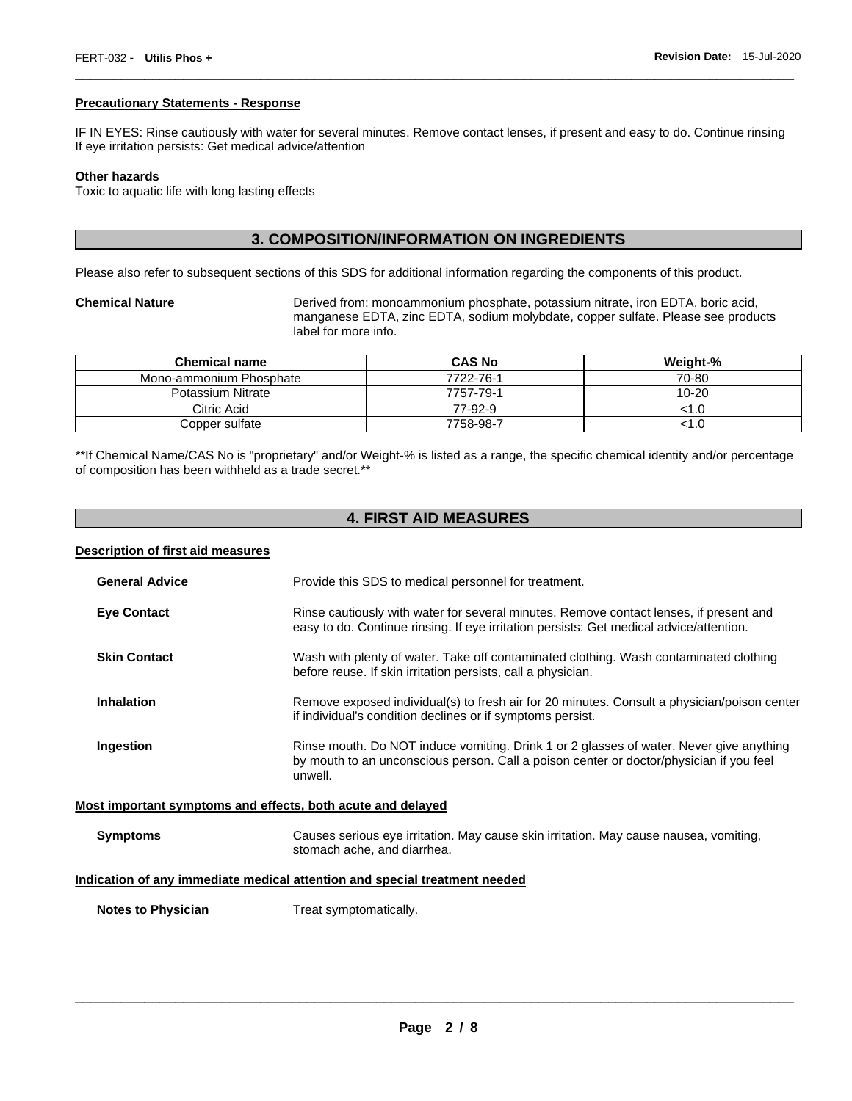#### **Precautionary Statements - Response**

IF IN EYES: Rinse cautiously with water for several minutes. Remove contact lenses, if present and easy to do. Continue rinsing If eye irritation persists: Get medical advice/attention

\_\_\_\_\_\_\_\_\_\_\_\_\_\_\_\_\_\_\_\_\_\_\_\_\_\_\_\_\_\_\_\_\_\_\_\_\_\_\_\_\_\_\_\_\_\_\_\_\_\_\_\_\_\_\_\_\_\_\_\_\_\_\_\_\_\_\_\_\_\_\_\_\_\_\_\_\_\_\_\_\_\_\_\_\_\_\_\_\_\_\_\_\_

#### **Other hazards**

Toxic to aquatic life with long lasting effects

# **3. COMPOSITION/INFORMATION ON INGREDIENTS**

Please also refer to subsequent sections of this SDS for additional information regarding the components of this product.

**Chemical Nature** Derived from: monoammonium phosphate, potassium nitrate, iron EDTA, boric acid, manganese EDTA, zinc EDTA, sodium molybdate, copper sulfate. Please see products label for more info.

| <b>Chemical name</b>    | <b>CAS No</b> | Weight-%  |
|-------------------------|---------------|-----------|
| Mono-ammonium Phosphate | 7722-76-1     | 70-80     |
| Potassium Nitrate       | 7757-79-1     | $10 - 20$ |
| Citric Acid             | 77-92-9       | <1.0      |
| Copper sulfate          | 7758-98-7     | 1.0>      |

\*\*If Chemical Name/CAS No is "proprietary" and/or Weight-% is listed as a range, the specific chemical identity and/or percentage of composition has been withheld as a trade secret.\*\*

# **4. FIRST AID MEASURES**

#### **Description of first aid measures**

| <b>General Advice</b> | Provide this SDS to medical personnel for treatment.                                                                                                                                          |  |
|-----------------------|-----------------------------------------------------------------------------------------------------------------------------------------------------------------------------------------------|--|
| <b>Eye Contact</b>    | Rinse cautiously with water for several minutes. Remove contact lenses, if present and<br>easy to do. Continue rinsing. If eye irritation persists: Get medical advice/attention.             |  |
| <b>Skin Contact</b>   | Wash with plenty of water. Take off contaminated clothing. Wash contaminated clothing<br>before reuse. If skin irritation persists, call a physician.                                         |  |
| <b>Inhalation</b>     | Remove exposed individual(s) to fresh air for 20 minutes. Consult a physician/poison center<br>if individual's condition declines or if symptoms persist.                                     |  |
| Ingestion             | Rinse mouth. Do NOT induce vomiting. Drink 1 or 2 glasses of water. Never give anything<br>by mouth to an unconscious person. Call a poison center or doctor/physician if you feel<br>unwell. |  |
|                       | Most important symptoms and effects, both acute and delayed                                                                                                                                   |  |
| <b>Symptoms</b>       | Causes serious eye irritation. May cause skin irritation. May cause nausea, vomiting,                                                                                                         |  |

# **Indication of any immediate medical attention and special treatment needed**

stomach ache, and diarrhea.

**Notes to Physician**  Treat symptomatically.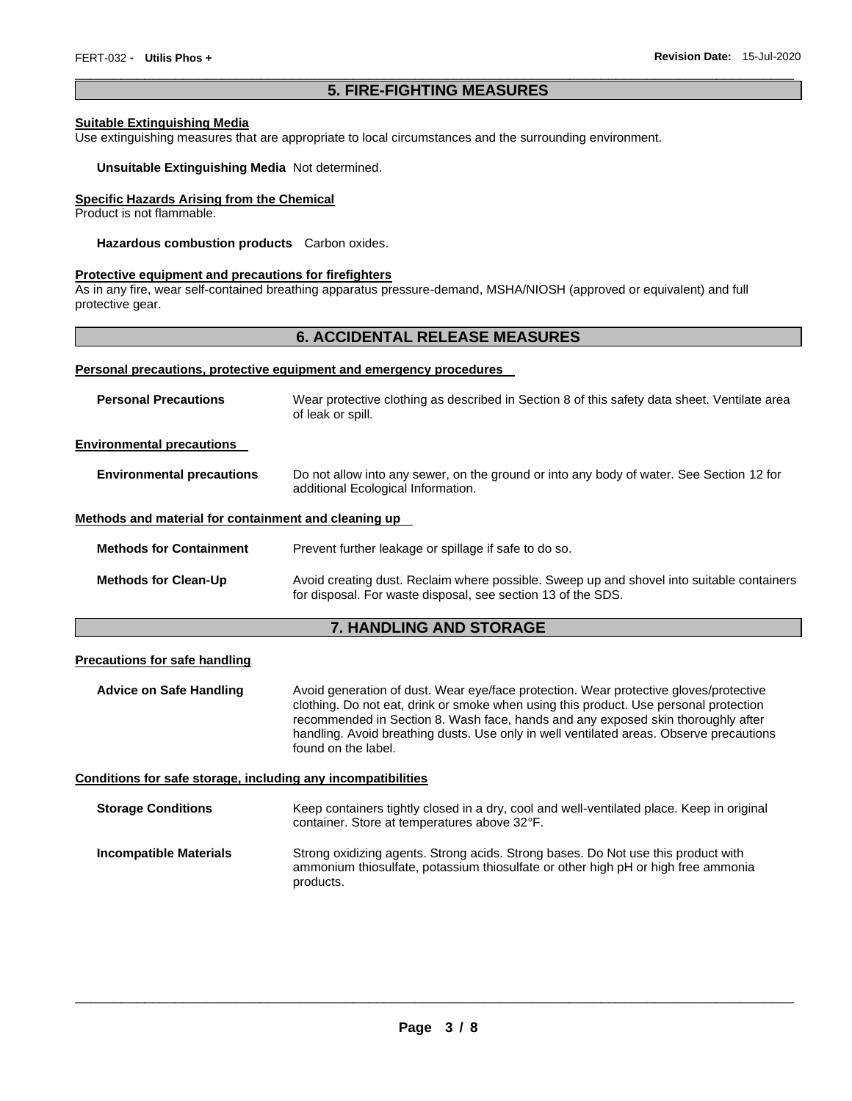### \_\_\_\_\_\_\_\_\_\_\_\_\_\_\_\_\_\_\_\_\_\_\_\_\_\_\_\_\_\_\_\_\_\_\_\_\_\_\_\_\_\_\_\_\_\_\_\_\_\_\_\_\_\_\_\_\_\_\_\_\_\_\_\_\_\_\_\_\_\_\_\_\_\_\_\_\_\_\_\_\_\_\_\_\_\_\_\_\_\_\_\_\_ **5. FIRE-FIGHTING MEASURES**

#### **Suitable Extinguishing Media**

Use extinguishing measures that are appropriate to local circumstances and the surrounding environment.

#### **Unsuitable Extinguishing Media** Not determined.

### **Specific Hazards Arising from the Chemical**

Product is not flammable.

**Hazardous combustion products** Carbon oxides.

#### **Protective equipment and precautions for firefighters**

As in any fire, wear self-contained breathing apparatus pressure-demand, MSHA/NIOSH (approved or equivalent) and full protective gear.

# **6. ACCIDENTAL RELEASE MEASURES**

#### **Personal precautions, protective equipment and emergency procedures**

| <b>Personal Precautions</b>                          | Wear protective clothing as described in Section 8 of this safety data sheet. Ventilate area<br>of leak or spill.                                         |
|------------------------------------------------------|-----------------------------------------------------------------------------------------------------------------------------------------------------------|
| <b>Environmental precautions</b>                     |                                                                                                                                                           |
| <b>Environmental precautions</b>                     | Do not allow into any sewer, on the ground or into any body of water. See Section 12 for<br>additional Ecological Information.                            |
| Methods and material for containment and cleaning up |                                                                                                                                                           |
| <b>Methods for Containment</b>                       | Prevent further leakage or spillage if safe to do so.                                                                                                     |
| <b>Methods for Clean-Up</b>                          | Avoid creating dust. Reclaim where possible. Sweep up and shovel into suitable containers<br>for disposal. For waste disposal, see section 13 of the SDS. |

# **7. HANDLING AND STORAGE**

#### **Precautions for safe handling**

**Advice on Safe Handling** Avoid generation of dust. Wear eye/face protection. Wear protective gloves/protective clothing. Do not eat, drink or smoke when using this product. Use personal protection recommended in Section 8. Wash face, hands and any exposed skin thoroughly after handling. Avoid breathing dusts. Use only in well ventilated areas. Observe precautions found on the label.

#### **Conditions for safe storage, including any incompatibilities**

| <b>Storage Conditions</b> | Keep containers tightly closed in a dry, cool and well-ventilated place. Keep in original<br>container. Store at temperatures above 32°F.                                           |
|---------------------------|-------------------------------------------------------------------------------------------------------------------------------------------------------------------------------------|
| Incompatible Materials    | Strong oxidizing agents. Strong acids. Strong bases. Do Not use this product with<br>ammonium thiosulfate, potassium thiosulfate or other high pH or high free ammonia<br>products. |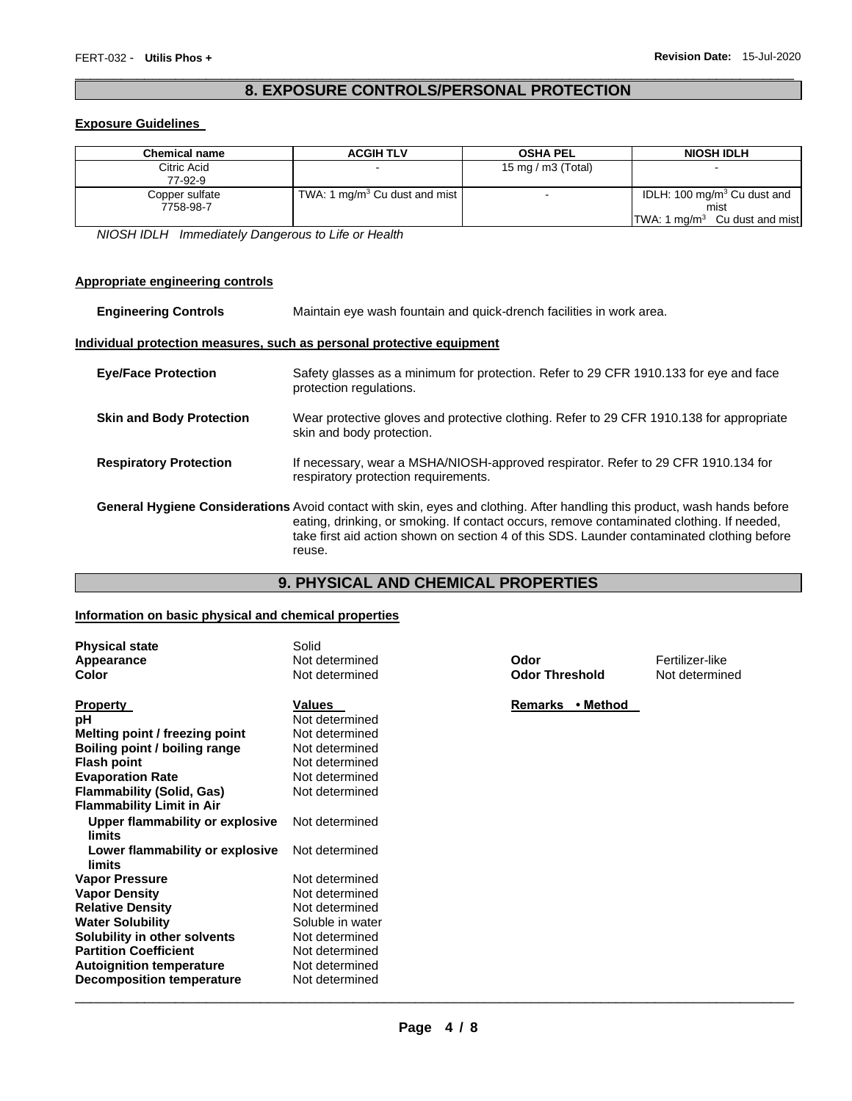# \_\_\_\_\_\_\_\_\_\_\_\_\_\_\_\_\_\_\_\_\_\_\_\_\_\_\_\_\_\_\_\_\_\_\_\_\_\_\_\_\_\_\_\_\_\_\_\_\_\_\_\_\_\_\_\_\_\_\_\_\_\_\_\_\_\_\_\_\_\_\_\_\_\_\_\_\_\_\_\_\_\_\_\_\_\_\_\_\_\_\_\_\_ **8. EXPOSURE CONTROLS/PERSONAL PROTECTION**

#### **Exposure Guidelines**

| <b>Chemical name</b>   | <b>ACGIH TLV</b>                          | <b>OSHA PEL</b>       | <b>NIOSH IDLH</b>                       |
|------------------------|-------------------------------------------|-----------------------|-----------------------------------------|
| Citric Acid<br>77-92-9 |                                           | 15 mg / m $3$ (Total) |                                         |
|                        |                                           |                       |                                         |
| Copper sulfate         | TWA: 1 mg/m <sup>3</sup> Cu dust and mist |                       | IDLH: 100 mg/m <sup>3</sup> Cu dust and |
| 7758-98-7              |                                           |                       | mist                                    |
|                        |                                           |                       | TWA: 1 $mg/m3$ Cu dust and mist         |

*NIOSH IDLH Immediately Dangerous to Life or Health* 

### **Appropriate engineering controls**

| <b>Engineering Controls</b>     | Maintain eye wash fountain and quick-drench facilities in work area.                                                                                                                                                                                                                                                                  |  |
|---------------------------------|---------------------------------------------------------------------------------------------------------------------------------------------------------------------------------------------------------------------------------------------------------------------------------------------------------------------------------------|--|
|                                 | Individual protection measures, such as personal protective equipment                                                                                                                                                                                                                                                                 |  |
| <b>Eve/Face Protection</b>      | Safety glasses as a minimum for protection. Refer to 29 CFR 1910.133 for eye and face<br>protection regulations.                                                                                                                                                                                                                      |  |
| <b>Skin and Body Protection</b> | Wear protective gloves and protective clothing. Refer to 29 CFR 1910.138 for appropriate<br>skin and body protection.                                                                                                                                                                                                                 |  |
| <b>Respiratory Protection</b>   | If necessary, wear a MSHA/NIOSH-approved respirator. Refer to 29 CFR 1910.134 for<br>respiratory protection requirements.                                                                                                                                                                                                             |  |
|                                 | <b>General Hygiene Considerations</b> Avoid contact with skin, eyes and clothing. After handling this product, wash hands before<br>eating, drinking, or smoking. If contact occurs, remove contaminated clothing. If needed,<br>take first aid action shown on section 4 of this SDS. Launder contaminated clothing before<br>reuse. |  |

# **9. PHYSICAL AND CHEMICAL PROPERTIES**

#### **Information on basic physical and chemical properties**

| <b>Physical state</b>            | Solid            |                       |                 |
|----------------------------------|------------------|-----------------------|-----------------|
| Appearance                       | Not determined   | Odor                  | Fertilizer-like |
| Color                            | Not determined   | <b>Odor Threshold</b> | Not determined  |
|                                  |                  |                       |                 |
| <b>Property</b>                  | Values           | • Method<br>Remarks   |                 |
| рH                               | Not determined   |                       |                 |
| Melting point / freezing point   | Not determined   |                       |                 |
| Boiling point / boiling range    | Not determined   |                       |                 |
| <b>Flash point</b>               | Not determined   |                       |                 |
| <b>Evaporation Rate</b>          | Not determined   |                       |                 |
| <b>Flammability (Solid, Gas)</b> | Not determined   |                       |                 |
| <b>Flammability Limit in Air</b> |                  |                       |                 |
| Upper flammability or explosive  | Not determined   |                       |                 |
| limits                           |                  |                       |                 |
| Lower flammability or explosive  | Not determined   |                       |                 |
| limits                           |                  |                       |                 |
| <b>Vapor Pressure</b>            | Not determined   |                       |                 |
| <b>Vapor Density</b>             | Not determined   |                       |                 |
| <b>Relative Density</b>          | Not determined   |                       |                 |
| <b>Water Solubility</b>          | Soluble in water |                       |                 |
| Solubility in other solvents     | Not determined   |                       |                 |
| <b>Partition Coefficient</b>     | Not determined   |                       |                 |
| <b>Autoignition temperature</b>  | Not determined   |                       |                 |
| <b>Decomposition temperature</b> | Not determined   |                       |                 |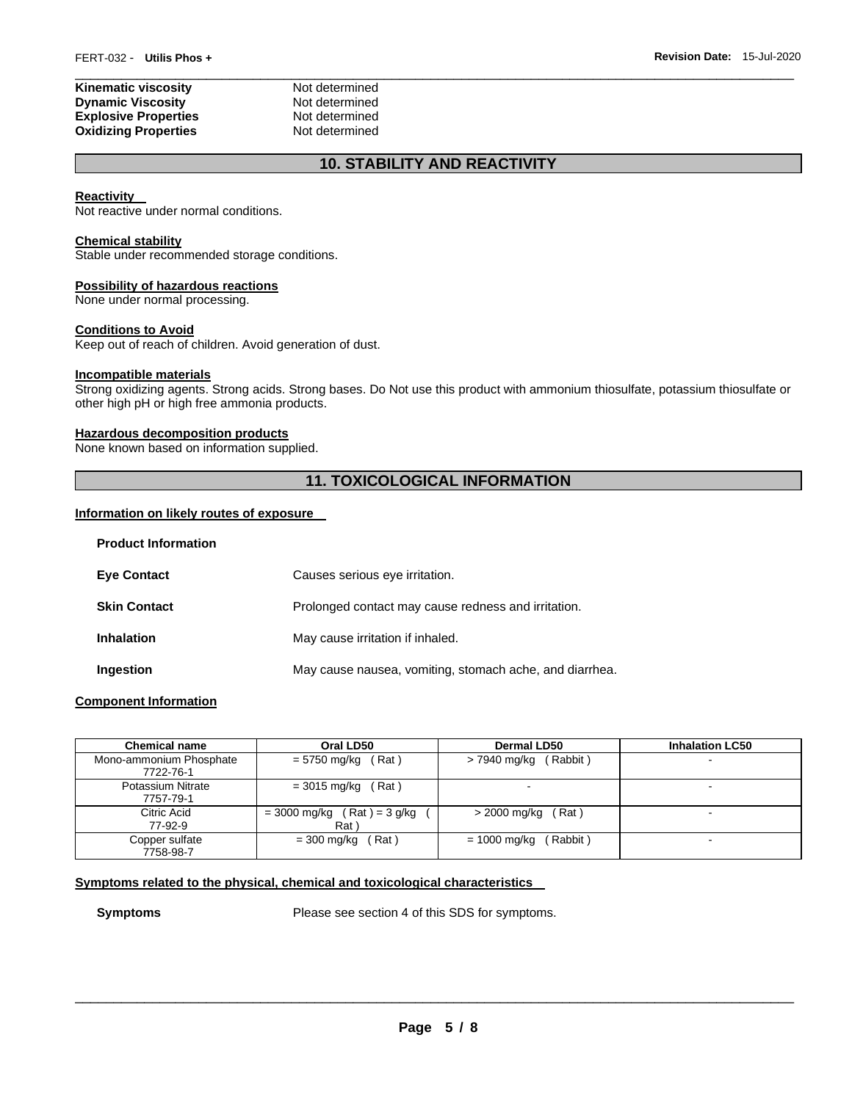| Kinematic viscosity         | Not determined |  |
|-----------------------------|----------------|--|
| <b>Dynamic Viscosity</b>    | Not determined |  |
| <b>Explosive Properties</b> | Not determined |  |
| <b>Oxidizing Properties</b> | Not determined |  |

# **10. STABILITY AND REACTIVITY**

#### **Reactivity**

Not reactive under normal conditions.

#### **Chemical stability**

Stable under recommended storage conditions.

#### **Possibility of hazardous reactions**

None under normal processing.

### **Conditions to Avoid**

Keep out of reach of children. Avoid generation of dust.

#### **Incompatible materials**

Strong oxidizing agents. Strong acids. Strong bases. Do Not use this product with ammonium thiosulfate, potassium thiosulfate or other high pH or high free ammonia products.

#### **Hazardous decomposition products**

None known based on information supplied.

# **11. TOXICOLOGICAL INFORMATION**

#### **Information on likely routes of exposure**

| FIUUUUL IIIIUI IIIALIUII |                                                         |
|--------------------------|---------------------------------------------------------|
| <b>Eye Contact</b>       | Causes serious eye irritation.                          |
| <b>Skin Contact</b>      | Prolonged contact may cause redness and irritation.     |
| <b>Inhalation</b>        | May cause irritation if inhaled.                        |
| Ingestion                | May cause nausea, vomiting, stomach ache, and diarrhea. |

#### **Component Information**

**Product Information** 

| <b>Chemical name</b>                  | Oral LD50                             | Dermal LD50              | <b>Inhalation LC50</b>   |
|---------------------------------------|---------------------------------------|--------------------------|--------------------------|
| Mono-ammonium Phosphate<br>7722-76-1  | (Rat)<br>= 5750 mg/kg                 | $> 7940$ mg/kg (Rabbit)  | $\blacksquare$           |
| <b>Potassium Nitrate</b><br>7757-79-1 | Rat)<br>= 3015 mg/kg                  |                          | $\overline{\phantom{a}}$ |
| Citric Acid<br>77-92-9                | $= 3000$ mg/kg (Rat) = 3 g/kg<br>Rat) | $>$ 2000 mg/kg (Rat)     |                          |
| Copper sulfate<br>7758-98-7           | Rat)<br>$= 300$ mg/kg                 | (Rabbit)<br>= 1000 mg/kg | $\sim$                   |

# **Symptoms related to the physical, chemical and toxicological characteristics**

**Symptoms** Please see section 4 of this SDS for symptoms.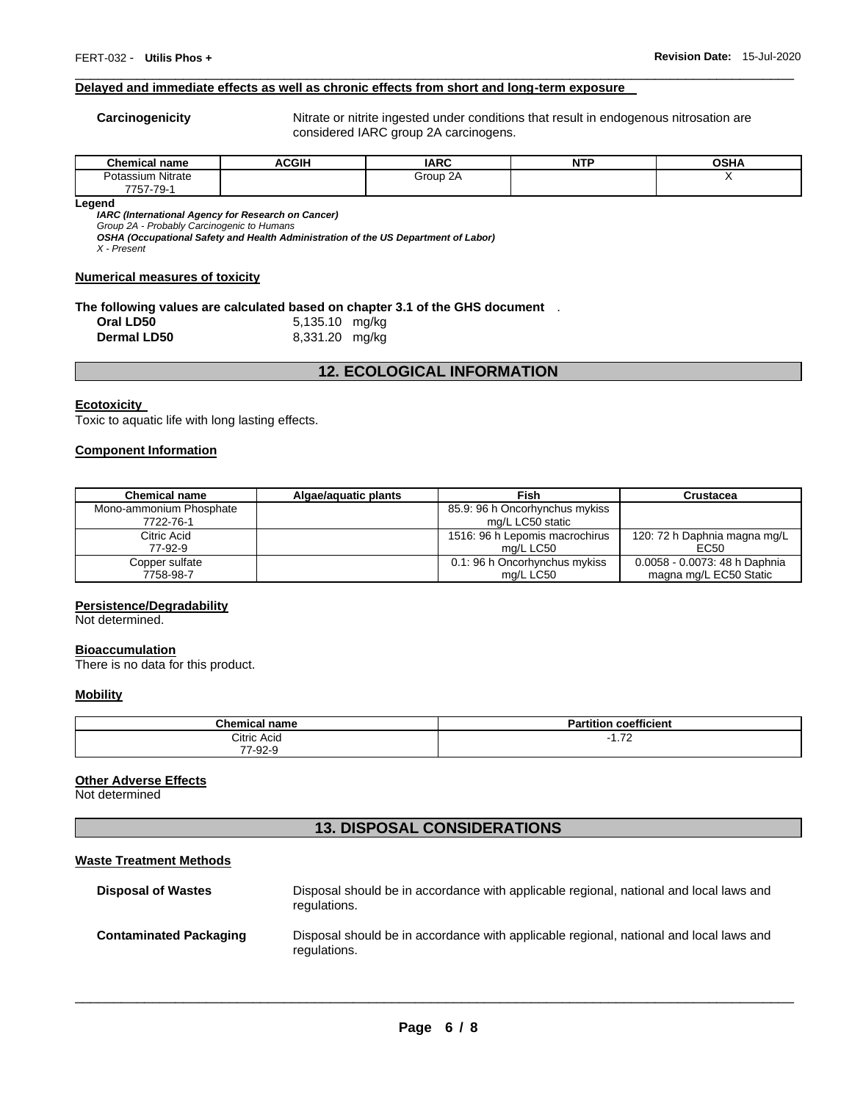#### **Delayed and immediate effects as well as chronic effects from short and long-term exposure**

**Carcinogenicity** Nitrate or nitrite ingested under conditions that result in endogenous nitrosation are considered IARC group 2A carcinogens.

| Chemical<br>name     | <b>ACGIH</b> | <b>IARC</b>        | $-$<br>N<br>. . | <b>OSHA</b> |
|----------------------|--------------|--------------------|-----------------|-------------|
| Nitrate<br>Potassium |              | $\sim$<br>Group 2A |                 |             |
| 7757-79<br>79-       |              |                    |                 |             |

\_\_\_\_\_\_\_\_\_\_\_\_\_\_\_\_\_\_\_\_\_\_\_\_\_\_\_\_\_\_\_\_\_\_\_\_\_\_\_\_\_\_\_\_\_\_\_\_\_\_\_\_\_\_\_\_\_\_\_\_\_\_\_\_\_\_\_\_\_\_\_\_\_\_\_\_\_\_\_\_\_\_\_\_\_\_\_\_\_\_\_\_\_

**Legend** 

*IARC (International Agency for Research on Cancer)*

*Group 2A - Probably Carcinogenic to Humans* 

*OSHA (Occupational Safety and Health Administration of the US Department of Labor)*

*X - Present* 

#### **Numerical measures of toxicity**

#### **The following values are calculated based on chapter 3.1 of the GHS document** .

| Oral LD50          | 5,135.10 mg/kg |  |
|--------------------|----------------|--|
| <b>Dermal LD50</b> | 8,331.20 mg/kg |  |

# **12. ECOLOGICAL INFORMATION**

#### **Ecotoxicity**

Toxic to aquatic life with long lasting effects.

#### **Component Information**

| <b>Chemical name</b>    | Algae/aguatic plants | Fish                           | Crustacea                     |
|-------------------------|----------------------|--------------------------------|-------------------------------|
| Mono-ammonium Phosphate |                      | 85.9: 96 h Oncorhynchus mykiss |                               |
| 7722-76-1               |                      | mg/L LC50 static               |                               |
| Citric Acid             |                      | 1516: 96 h Lepomis macrochirus | 120: 72 h Daphnia magna mg/L  |
| 77-92-9                 |                      | mg/L LC50                      | EC50                          |
| Copper sulfate          |                      | 0.1: 96 h Oncorhynchus mykiss  | 0.0058 - 0.0073: 48 h Daphnia |
| 7758-98-7               |                      | ma/L LC50                      | magna mg/L EC50 Static        |

#### **Persistence/Degradability**

Not determined.

#### **Bioaccumulation**

There is no data for this product.

#### **Mobility**

| Chamic.<br>  name<br>mır | coefficient<br><b>Partition</b> |
|--------------------------|---------------------------------|
| Citric Acid              | $\overline{z}$<br>$\cdots$      |
| 77-92-9                  |                                 |

#### **Other Adverse Effects**

Not determined

# **13. DISPOSAL CONSIDERATIONS**

#### **Waste Treatment Methods**

| <b>Disposal of Wastes</b>     | Disposal should be in accordance with applicable regional, national and local laws and<br>regulations. |
|-------------------------------|--------------------------------------------------------------------------------------------------------|
| <b>Contaminated Packaging</b> | Disposal should be in accordance with applicable regional, national and local laws and<br>regulations. |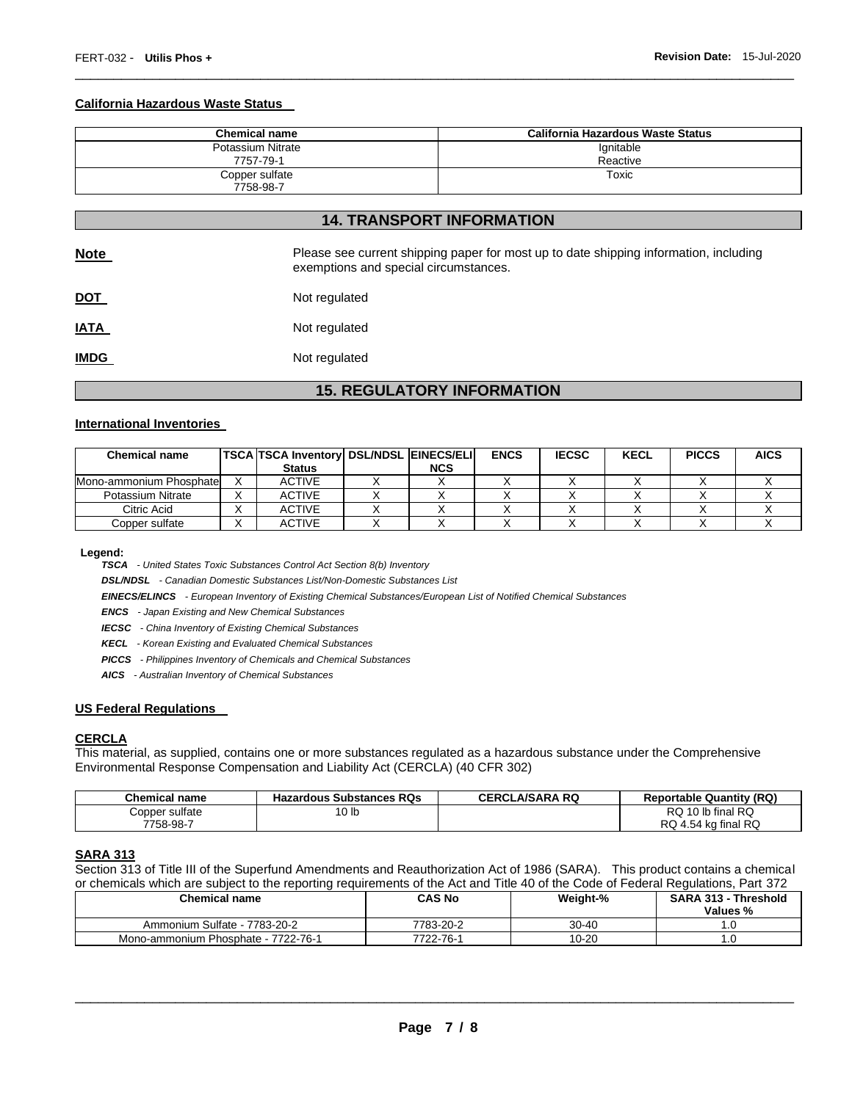#### **California Hazardous Waste Status**

| <b>Chemical name</b> | California Hazardous Waste Status |
|----------------------|-----------------------------------|
| Potassium Nitrate    | Ignitable                         |
| 7757-79-1            | Reactive                          |
| Copper sulfate       | Toxic                             |
| 7758-98-7            |                                   |

\_\_\_\_\_\_\_\_\_\_\_\_\_\_\_\_\_\_\_\_\_\_\_\_\_\_\_\_\_\_\_\_\_\_\_\_\_\_\_\_\_\_\_\_\_\_\_\_\_\_\_\_\_\_\_\_\_\_\_\_\_\_\_\_\_\_\_\_\_\_\_\_\_\_\_\_\_\_\_\_\_\_\_\_\_\_\_\_\_\_\_\_\_

|             | <b>14. TRANSPORT INFORMATION</b>                                                                                               |
|-------------|--------------------------------------------------------------------------------------------------------------------------------|
| <u>Note</u> | Please see current shipping paper for most up to date shipping information, including<br>exemptions and special circumstances. |

| <b>DOT</b> | Not regulated |
|------------|---------------|
|            |               |

**IATA** Not regulated **IMDG** Not regulated

# **15. REGULATORY INFORMATION**

#### **International Inventories**

| <b>Chemical name</b>    | <b>TSCA TSCA Inventory DSL/NDSL EINECS/ELI</b><br><b>Status</b> | <b>NCS</b> | <b>ENCS</b> | <b>IECSC</b> | <b>KECL</b> | <b>PICCS</b> | <b>AICS</b> |
|-------------------------|-----------------------------------------------------------------|------------|-------------|--------------|-------------|--------------|-------------|
|                         |                                                                 |            |             |              |             |              |             |
| Mono-ammonium Phosphate | <b>ACTIVE</b>                                                   |            |             |              |             |              |             |
| Potassium Nitrate       | <b>ACTIVE</b>                                                   |            |             |              |             |              |             |
| Citric Acid             | <b>ACTIVE</b>                                                   |            |             |              |             |              |             |
| Copper sulfate          | <b>ACTIVE</b>                                                   |            |             |              |             |              |             |

**Legend:** 

*TSCA - United States Toxic Substances Control Act Section 8(b) Inventory* 

*DSL/NDSL - Canadian Domestic Substances List/Non-Domestic Substances List* 

*EINECS/ELINCS - European Inventory of Existing Chemical Substances/European List of Notified Chemical Substances* 

*ENCS - Japan Existing and New Chemical Substances* 

*IECSC - China Inventory of Existing Chemical Substances* 

*KECL - Korean Existing and Evaluated Chemical Substances* 

*PICCS - Philippines Inventory of Chemicals and Chemical Substances* 

*AICS - Australian Inventory of Chemical Substances* 

#### **US Federal Regulations**

#### **CERCLA**

This material, as supplied, contains one or more substances regulated as a hazardous substance under the Comprehensive Environmental Response Compensation and Liability Act (CERCLA) (40 CFR 302)

| <b>Chemical name</b> | <b>Hazardous Substances RQs</b> | <b>CERCLA/SARA RQ</b> | <b>Reportable Quantity (RQ)</b> |
|----------------------|---------------------------------|-----------------------|---------------------------------|
| Copper sulfate       | 10 lb                           |                       | $\cdot$ 10 lb final RQ<br>RQ.   |
| 7758-98-7            |                                 |                       | RQ 4.54 kg final RQ             |

#### **SARA 313**

Section 313 of Title III of the Superfund Amendments and Reauthorization Act of 1986 (SARA). This product contains a chemical or chemicals which are subject to the reporting requirements of the Act and Title 40 of the Code of Federal Regulations, Part 372

| <b>Chemical name</b>                | <b>CAS No</b> | Weight-%  | <b>SARA 313 - Threshold</b><br>Values % |
|-------------------------------------|---------------|-----------|-----------------------------------------|
| Ammonium Sulfate - 7783-20-2        | 7783-20-2     | $30 - 40$ | .u                                      |
| Mono-ammonium Phosphate - 7722-76-1 | 7722-76-1     | $10 - 20$ | . . U                                   |